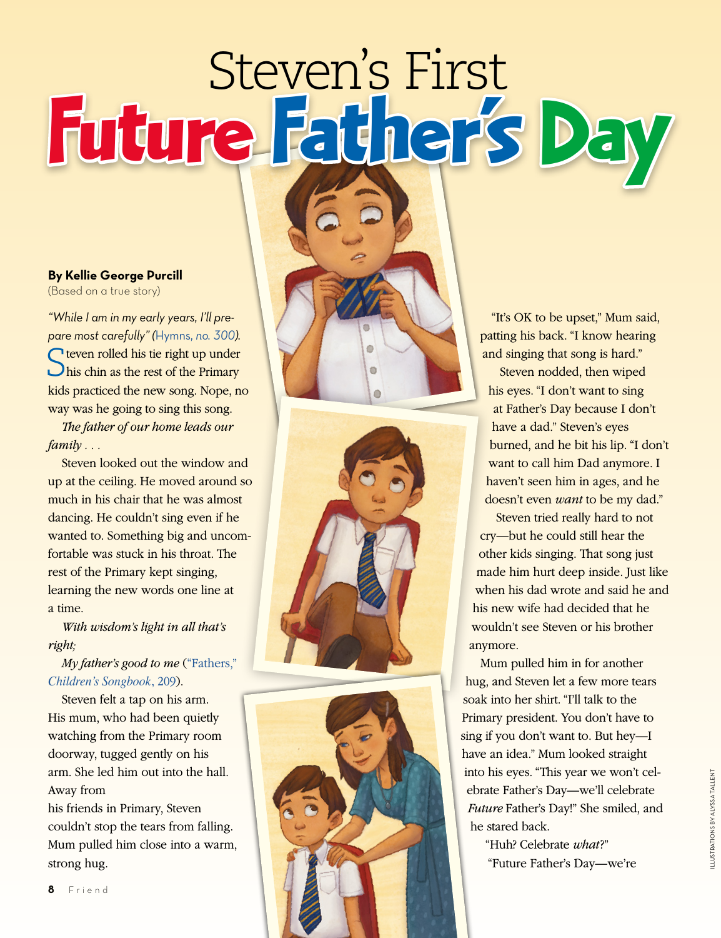## Steven's First FutureFather's Day

## **By Kellie George Purcill**

(Based on a true story)

*"While I am in my early years, I'll prepare most carefully" (*Hymns, *[no. 300\)](https://www.lds.org/music/library/hymns/families-can-be-together-forever?lang=eng).* Steven rolled his tie right up under<br>
Shis chin as the rest of the Primary kids practiced the new song. Nope, no way was he going to sing this song.

*The father of our home leads our family . . .*

Steven looked out the window and up at the ceiling. He moved around so much in his chair that he was almost dancing. He couldn't sing even if he wanted to. Something big and uncomfortable was stuck in his throat. The rest of the Primary kept singing, learning the new words one line at a time.

*With wisdom's light in all that's right;*

*My father's good to me* [\("Fathers,"](https://www.lds.org/music/library/childrens-songbook/fathers?lang=eng)  *[Children's Songbook](https://www.lds.org/music/library/childrens-songbook/fathers?lang=eng)*, 209).

Steven felt a tap on his arm. His mum, who had been quietly watching from the Primary room doorway, tugged gently on his arm. She led him out into the hall. Away from

his friends in Primary, Steven couldn't stop the tears from falling. Mum pulled him close into a warm, strong hug.

"It's OK to be upset," Mum said, patting his back. "I know hearing and singing that song is hard."

Steven nodded, then wiped his eyes. "I don't want to sing at Father's Day because I don't have a dad." Steven's eyes burned, and he bit his lip. "I don't want to call him Dad anymore. I haven't seen him in ages, and he doesn't even *want* to be my dad."

Steven tried really hard to not cry—but he could still hear the other kids singing. That song just made him hurt deep inside. Just like when his dad wrote and said he and his new wife had decided that he wouldn't see Steven or his brother anymore.

Mum pulled him in for another hug, and Steven let a few more tears soak into her shirt. "I'll talk to the Primary president. You don't have to sing if you don't want to. But hey—I have an idea." Mum looked straight into his eyes. "This year we won't celebrate Father's Day—we'll celebrate *Future* Father's Day!" She smiled, and he stared back.

"Huh? Celebrate *what* ?" "Future Father's Day—we're